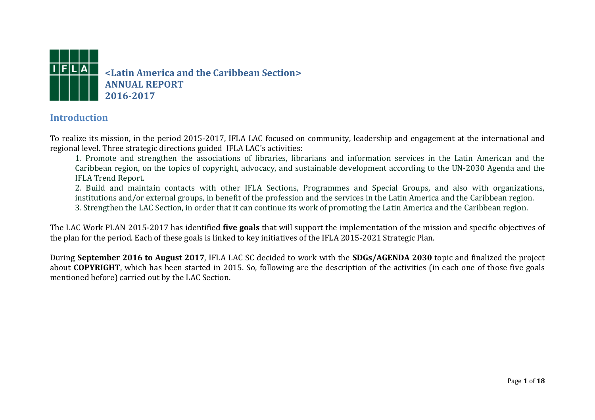

### **Introduction**

To realize its mission, in the period 2015-2017, IFLA LAC focused on community, leadership and engagement at the international and regional level. Three strategic directions guided IFLA LAC´s activities:

1. Promote and strengthen the associations of libraries, librarians and information services in the Latin American and the Caribbean region, on the topics of copyright, advocacy, and sustainable development according to the UN-2030 Agenda and the IFLA Trend Report.

2. Build and maintain contacts with other IFLA Sections, Programmes and Special Groups, and also with organizations, institutions and/or external groups, in benefit of the profession and the services in the Latin America and the Caribbean region. 3. Strengthen the LAC Section, in order that it can continue its work of promoting the Latin America and the Caribbean region.

The LAC Work PLAN 2015-2017 has identified **five goals** that will support the implementation of the mission and specific objectives of the plan for the period. Each of these goals is linked to key initiatives of the IFLA 2015-2021 Strategic Plan.

During **September 2016 to August 2017**, IFLA LAC SC decided to work with the **SDGs/AGENDA 2030** topic and finalized the project about **COPYRIGHT**, which has been started in 2015. So, following are the description of the activities (in each one of those five goals mentioned before) carried out by the LAC Section.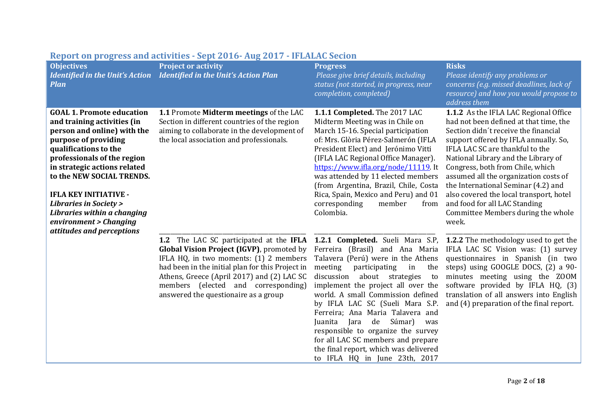| <b>Objectives</b><br><b>Identified in the Unit's Action</b><br><b>Plan</b>                                                                                                                                                                                                                                                                                                                            | $100 \mu$ b $100 \mu$ b $100 \mu$ and the state state $100 \mu$ b $100 \mu$ and $100 \mu$<br><b>Project or activity</b><br>Identified in the Unit's Action Plan                                                                                                                                                 | <b>Progress</b><br>Please give brief details, including<br>status (not started, in progress, near<br>completion, completed)                                                                                                                                                                                                                                                                                                                                                                              | <b>Risks</b><br>Please identify any problems or<br>concerns (e.g. missed deadlines, lack of<br>resource) and how you would propose to<br>address them                                                                                                                                                                                                                                                                                                                                     |
|-------------------------------------------------------------------------------------------------------------------------------------------------------------------------------------------------------------------------------------------------------------------------------------------------------------------------------------------------------------------------------------------------------|-----------------------------------------------------------------------------------------------------------------------------------------------------------------------------------------------------------------------------------------------------------------------------------------------------------------|----------------------------------------------------------------------------------------------------------------------------------------------------------------------------------------------------------------------------------------------------------------------------------------------------------------------------------------------------------------------------------------------------------------------------------------------------------------------------------------------------------|-------------------------------------------------------------------------------------------------------------------------------------------------------------------------------------------------------------------------------------------------------------------------------------------------------------------------------------------------------------------------------------------------------------------------------------------------------------------------------------------|
| <b>GOAL 1. Promote education</b><br>and training activities (in<br>person and online) with the<br>purpose of providing<br>qualifications to the<br>professionals of the region<br>in strategic actions related<br>to the NEW SOCIAL TRENDS.<br><b>IFLA KEY INITIATIVE -</b><br><b>Libraries in Society &gt;</b><br>Libraries within a changing<br>environment > Changing<br>attitudes and perceptions | 1.1 Promote Midterm meetings of the LAC<br>Section in different countries of the region<br>aiming to collaborate in the development of<br>the local association and professionals.                                                                                                                              | 1.1.1 Completed. The 2017 LAC<br>Midterm Meeting was in Chile on<br>March 15-16. Special participation<br>of: Mrs. Glòria Pérez-Salmerón (IFLA<br>President Elect) and Jerónimo Vitti<br>(IFLA LAC Regional Office Manager).<br>https://www.ifla.org/node/11119. It<br>was attended by 11 elected members<br>(from Argentina, Brazil, Chile, Costa<br>Rica, Spain, Mexico and Peru) and 01<br>corresponding<br>member<br>from<br>Colombia.                                                               | 1.1.2 As the IFLA LAC Regional Office<br>had not been defined at that time, the<br>Section didn't receive the financial<br>support offered by IFLA annually. So,<br>IFLA LAC SC are thankful to the<br>National Library and the Library of<br>Congress, both from Chile, which<br>assumed all the organization costs of<br>the International Seminar (4.2) and<br>also covered the local transport, hotel<br>and food for all LAC Standing<br>Committee Members during the whole<br>week. |
|                                                                                                                                                                                                                                                                                                                                                                                                       | 1.2 The LAC SC participated at the IFLA<br>Global Vision Project (IGVP), promoted by<br>IFLA HQ, in two moments: (1) 2 members<br>had been in the initial plan for this Project in<br>Athens, Greece (April 2017) and (2) LAC SC<br>members (elected and corresponding)<br>answered the questionaire as a group | Ferreira (Brasil) and Ana Maria<br>Talavera (Perú) were in the Athens<br>meeting<br>participating<br>in<br>the<br>discussion<br>about strategies<br>to<br>implement the project all over the<br>world. A small Commission defined<br>by IFLA LAC SC (Sueli Mara S.P.<br>Ferreira; Ana Maria Talavera and<br>de<br>Súmar)<br>Juanita<br>Jara<br>was<br>responsible to organize the survey<br>for all LAC SC members and prepare<br>the final report, which was delivered<br>to IFLA HQ in June 23th, 2017 | <b>1.2.1 Completed.</b> Sueli Mara S.P, <b>1.2.2</b> The methodology used to get the<br>IFLA LAC SC Vision was: (1) survey<br>questionnaires in Spanish (in two<br>steps) using GOOGLE DOCS, (2) a 90-<br>minutes meeting using the ZOOM<br>software provided by IFLA HQ, (3)<br>translation of all answers into English<br>and (4) preparation of the final report.                                                                                                                      |

## **Report on progress and activities - Sept 2016- Aug 2017 - IFLALAC Secion**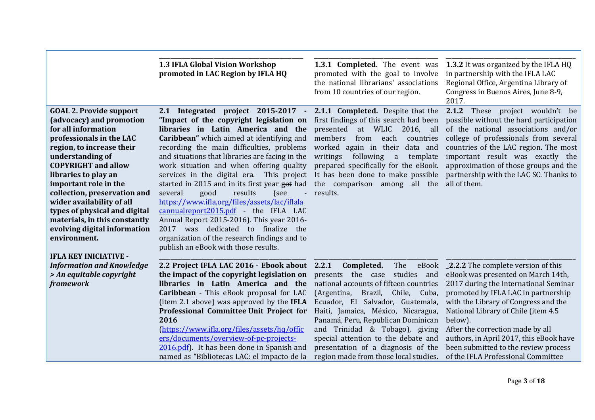|                                                                                                                                                                                                                                                                                                                                                                                                                                                              | 1.3 IFLA Global Vision Workshop<br>promoted in LAC Region by IFLA HQ                                                                                                                                                                                                                                                                                                                                                                                                                                                                                                                                                                                                                                                                     | 1.3.1 Completed. The event was<br>promoted with the goal to involve<br>the national librarians' associations<br>from 10 countries of our region.                                                                                                                                                                                                                                                                                    | 1.3.2 It was organized by the IFLA HQ<br>in partnership with the IFLA LAC<br>Regional Office, Argentina Library of<br>Congress in Buenos Aires, June 8-9,<br>2017.                                                                                                                                                                                                                                                     |
|--------------------------------------------------------------------------------------------------------------------------------------------------------------------------------------------------------------------------------------------------------------------------------------------------------------------------------------------------------------------------------------------------------------------------------------------------------------|------------------------------------------------------------------------------------------------------------------------------------------------------------------------------------------------------------------------------------------------------------------------------------------------------------------------------------------------------------------------------------------------------------------------------------------------------------------------------------------------------------------------------------------------------------------------------------------------------------------------------------------------------------------------------------------------------------------------------------------|-------------------------------------------------------------------------------------------------------------------------------------------------------------------------------------------------------------------------------------------------------------------------------------------------------------------------------------------------------------------------------------------------------------------------------------|------------------------------------------------------------------------------------------------------------------------------------------------------------------------------------------------------------------------------------------------------------------------------------------------------------------------------------------------------------------------------------------------------------------------|
| <b>GOAL 2. Provide support</b><br>(advocacy) and promotion<br>for all information<br>professionals in the LAC<br>region, to increase their<br>understanding of<br><b>COPYRIGHT</b> and allow<br>libraries to play an<br>important role in the<br>collection, preservation and<br>wider availability of all<br>types of physical and digital<br>materials, in this constantly<br>evolving digital information<br>environment.<br><b>IFLA KEY INICIATIVE -</b> | 2.1 Integrated project 2015-2017 -<br>"Impact of the copyright legislation on<br>libraries in Latin America and the<br><b>Caribbean</b> " which aimed at identifying and<br>recording the main difficulties, problems<br>and situations that libraries are facing in the<br>work situation and when offering quality<br>services in the digital era. This project<br>started in 2015 and in its first year got had<br>good<br>results<br>several<br>(see<br>$\sim$<br>https://www.ifla.org/files/assets/lac/iflala<br>cannualreport2015.pdf - the IFLA LAC<br>Annual Report 2015-2016). This year 2016-<br>2017 was<br>dedicated to finalize the<br>organization of the research findings and to<br>publish an eBook with those results. | 2.1.1 Completed. Despite that the<br>first findings of this search had been<br>presented<br><b>WLIC</b><br>2016,<br>at<br>all<br>members<br>each<br>from<br>countries<br>worked again in their<br>data and<br>following<br>writings<br>a<br>template<br>prepared specifically for the eBook.<br>It has been done to make possible<br>the comparison among all the<br>results.                                                       | 2.1.2<br>These project wouldn't be<br>possible without the hard participation<br>of the national associations and/or<br>college of professionals from several<br>countries of the LAC region. The most<br>important result was exactly the<br>approximation of those groups and the<br>partnership with the LAC SC. Thanks to<br>all of them.                                                                          |
| <b>Information and Knowledge</b><br>> An equitable copyright<br><b>framework</b>                                                                                                                                                                                                                                                                                                                                                                             | 2.2 Project IFLA LAC 2016 - Ebook about<br>the impact of the copyright legislation on<br>libraries in Latin America and the<br>Caribbean - This eBook proposal for LAC<br>(item 2.1 above) was approved by the IFLA<br>Professional Committee Unit Project for<br>2016<br>(https://www.ifla.org/files/assets/hq/offic<br>ers/documents/overview-of-pc-projects-<br>$2016.pdf$ . It has been done in Spanish and<br>named as "Bibliotecas LAC: el impacto de la                                                                                                                                                                                                                                                                           | 2.2.1<br>Completed.<br>The<br>eBook<br>studies and<br>presents the case<br>national accounts of fifteen countries<br>Brazil,<br>Chile, Cuba,<br>(Argentina,<br>Ecuador, El Salvador, Guatemala,<br>Haiti, Jamaica, México, Nicaragua,<br>Panamá, Peru, Republican Dominican<br>and Trinidad & Tobago), giving<br>special attention to the debate and<br>presentation of a diagnosis of the<br>region made from those local studies. | <b>2.2.2</b> The complete version of this<br>eBook was presented on March 14th,<br>2017 during the International Seminar<br>promoted by IFLA LAC in partnership<br>with the Library of Congress and the<br>National Library of Chile (item 4.5<br>below).<br>After the correction made by all<br>authors, in April 2017, this eBook have<br>been submitted to the review process<br>of the IFLA Professional Committee |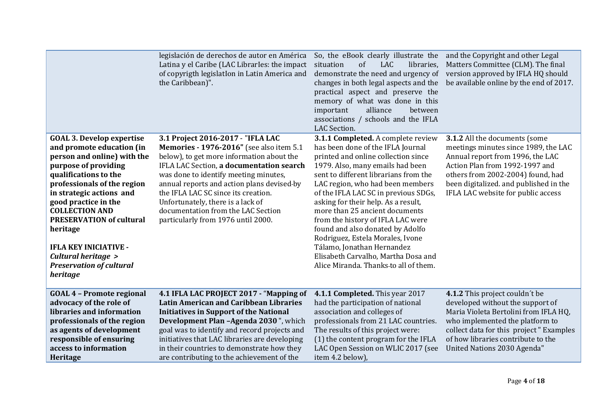|                                                                                                                                                                                                                                                                                                                                                                                                                | legislación de derechos de autor en América<br>Latina y el Caribe (LAC Librarles: the impact<br>of copyrigth legislation in Latin America and<br>the Caribbean)".                                                                                                                                                                                                                                                     | So, the eBook clearly illustrate the<br>of<br><b>LAC</b><br>libraries,<br>situation<br>demonstrate the need and urgency of<br>changes in both legal aspects and the<br>practical aspect and preserve the<br>memory of what was done in this<br>alliance<br>important<br>between<br>associations / schools and the IFLA<br>LAC Section.                                                                                                                                                                                                                                      | and the Copyright and other Legal<br>Matters Committee (CLM). The final<br>version approved by IFLA HQ should<br>be available online by the end of 2017.                                                                                                         |
|----------------------------------------------------------------------------------------------------------------------------------------------------------------------------------------------------------------------------------------------------------------------------------------------------------------------------------------------------------------------------------------------------------------|-----------------------------------------------------------------------------------------------------------------------------------------------------------------------------------------------------------------------------------------------------------------------------------------------------------------------------------------------------------------------------------------------------------------------|-----------------------------------------------------------------------------------------------------------------------------------------------------------------------------------------------------------------------------------------------------------------------------------------------------------------------------------------------------------------------------------------------------------------------------------------------------------------------------------------------------------------------------------------------------------------------------|------------------------------------------------------------------------------------------------------------------------------------------------------------------------------------------------------------------------------------------------------------------|
| <b>GOAL 3. Develop expertise</b><br>and promote education (in<br>person and online) with the<br>purpose of providing<br>qualifications to the<br>professionals of the region<br>in strategic actions and<br>good practice in the<br><b>COLLECTION AND</b><br><b>PRESERVATION of cultural</b><br>heritage<br><b>IFLA KEY INICIATIVE -</b><br>Cultural heritage ><br><b>Preservation of cultural</b><br>heritage | 3.1 Project 2016-2017 - "IFLA LAC<br>Memories - 1976-2016" (see also item 5.1<br>below), to get more information about the<br>IFLA LAC Section, a documentation search<br>was done to identify meeting minutes,<br>annual reports and action plans devised-by<br>the IFLA LAC SC since its creation.<br>Unfortunately, there is a lack of<br>documentation from the LAC Section<br>particularly from 1976 until 2000. | 3.1.1 Completed. A complete review<br>has been done of the IFLA Journal<br>printed and online collection since<br>1979. Also, many emails had been<br>sent to different librarians from the<br>LAC region, who had been members<br>of the IFLA LAC SC in previous SDGs,<br>asking for their help. As a result,<br>more than 25 ancient documents<br>from the history of IFLA LAC were<br>found and also donated by Adolfo<br>Rodriguez, Estela Morales, Ivone<br>Tálamo, Jonathan Hernandez<br>Elisabeth Carvalho, Martha Dosa and<br>Alice Miranda. Thanks-to all of them. | 3.1.2 All the documents (some<br>meetings minutes since 1989, the LAC<br>Annual report from 1996, the LAC<br>Action Plan from 1992-1997 and<br>others from 2002-2004) found, had<br>been digitalized. and published in the<br>IFLA LAC website for public access |
| <b>GOAL 4 - Promote regional</b><br>advocacy of the role of<br>libraries and information<br>professionals of the region<br>as agents of development<br>responsible of ensuring<br>access to information<br>Heritage                                                                                                                                                                                            | 4.1 IFLA LAC PROJECT 2017 - "Mapping of<br><b>Latin American and Caribbean Libraries</b><br><b>Initiatives in Support of the National</b><br>Development Plan -Agenda 2030", which<br>goal was to identify and record projects and<br>initiatives that LAC libraries are developing<br>in their countries to demonstrate how they<br>are contributing to the achievement of the                                       | 4.1.1 Completed. This year 2017<br>had the participation of national<br>association and colleges of<br>professionals from 21 LAC countries.<br>The results of this project were:<br>(1) the content program for the IFLA<br>LAC Open Session on WLIC 2017 (see<br>item 4.2 below),                                                                                                                                                                                                                                                                                          | 4.1.2 This project couldn't be<br>developed without the support of<br>Maria Violeta Bertolini from IFLA HQ,<br>who implemented the platform to<br>collect data for this project " Examples<br>of how libraries contribute to the<br>United Nations 2030 Agenda"  |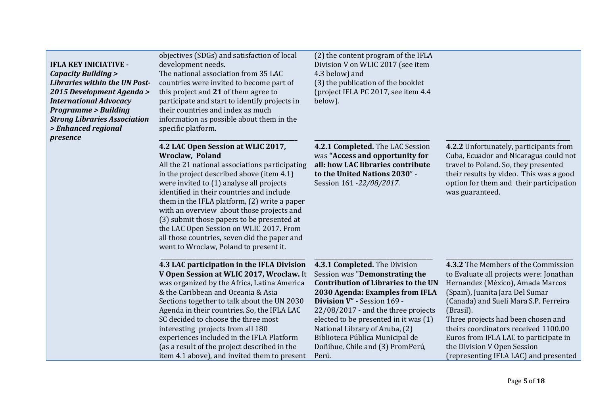| <b>IFLA KEY INICIATIVE -</b><br><b>Capacity Building &gt;</b><br><b>Libraries within the UN Post-</b><br>2015 Development Agenda ><br><b>International Advocacy</b><br><b>Programme &gt; Building</b><br><b>Strong Libraries Association</b><br>> Enhanced regional<br>presence | objectives (SDGs) and satisfaction of local<br>development needs.<br>The national association from 35 LAC<br>countries were invited to become part of<br>this project and 21 of them agree to<br>participate and start to identify projects in<br>their countries and index as much<br>information as possible about them in the<br>specific platform.                                                                                                                                                                        | (2) the content program of the IFLA<br>Division V on WLIC 2017 (see item<br>4.3 below) and<br>(3) the publication of the booklet<br>(project IFLA PC 2017, see item 4.4)<br>below).                                                                                                                                                                                               |                                                                                                                                                                                                                                                                                                                                                                                                            |
|---------------------------------------------------------------------------------------------------------------------------------------------------------------------------------------------------------------------------------------------------------------------------------|-------------------------------------------------------------------------------------------------------------------------------------------------------------------------------------------------------------------------------------------------------------------------------------------------------------------------------------------------------------------------------------------------------------------------------------------------------------------------------------------------------------------------------|-----------------------------------------------------------------------------------------------------------------------------------------------------------------------------------------------------------------------------------------------------------------------------------------------------------------------------------------------------------------------------------|------------------------------------------------------------------------------------------------------------------------------------------------------------------------------------------------------------------------------------------------------------------------------------------------------------------------------------------------------------------------------------------------------------|
|                                                                                                                                                                                                                                                                                 | 4.2 LAC Open Session at WLIC 2017,<br>Wroclaw, Poland<br>All the 21 national associations participating<br>in the project described above (item 4.1)<br>were invited to (1) analyse all projects<br>identified in their countries and include<br>them in the IFLA platform, (2) write a paper<br>with an overview about those projects and<br>(3) submit those papers to be presented at<br>the LAC Open Session on WLIC 2017. From<br>all those countries, seven did the paper and<br>went to Wroclaw, Poland to present it. | 4.2.1 Completed. The LAC Session<br>was "Access and opportunity for<br>all: how LAC libraries contribute<br>to the United Nations 2030" -<br>Session 161 - 22/08/2017.                                                                                                                                                                                                            | 4.2.2 Unfortunately, participants from<br>Cuba, Ecuador and Nicaragua could not<br>travel to Poland. So, they presented<br>their results by video. This was a good<br>option for them and their participation<br>was guaranteed.                                                                                                                                                                           |
|                                                                                                                                                                                                                                                                                 | 4.3 LAC participation in the IFLA Division<br>V Open Session at WLIC 2017, Wroclaw. It<br>was organized by the Africa, Latina America<br>& the Caribbean and Oceania & Asia<br>Sections together to talk about the UN 2030<br>Agenda in their countries. So, the IFLA LAC<br>SC decided to choose the three most<br>interesting projects from all 180<br>experiences included in the IFLA Platform<br>(as a result of the project described in the<br>item 4.1 above), and invited them to present                            | 4.3.1 Completed. The Division<br>Session was "Demonstrating the<br><b>Contribution of Libraries to the UN</b><br>2030 Agenda: Examples from IFLA<br>Division V" - Session 169 -<br>22/08/2017 - and the three projects<br>elected to be presented in it was (1)<br>National Library of Aruba, (2)<br>Biblioteca Pública Municipal de<br>Doñihue, Chile and (3) PromPerú,<br>Perú. | 4.3.2 The Members of the Commission<br>to Evaluate all projects were: Jonathan<br>Hernandez (México), Amada Marcos<br>(Spain), Juanita Jara Del Sumar<br>(Canada) and Sueli Mara S.P. Ferreira<br>(Brasil).<br>Three projects had been chosen and<br>theirs coordinators received 1100.00<br>Euros from IFLA LAC to participate in<br>the Division V Open Session<br>(representing IFLA LAC) and presented |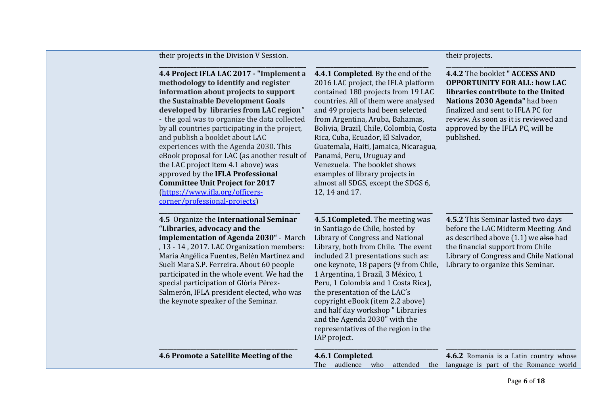| their projects in the Division V Session. |  |  |  |
|-------------------------------------------|--|--|--|
|-------------------------------------------|--|--|--|

#### **\_\_\_\_\_\_\_\_\_\_\_\_\_\_\_\_\_\_\_\_\_\_\_\_\_\_\_\_\_\_\_\_\_\_\_\_\_\_\_\_\_\_\_\_\_\_\_\_\_\_\_ 4.4 Project IFLA LAC 2017 - "Implement a methodology to identify and register information about projects to support the Sustainable Development Goals developed by libraries from LAC region***" -* the goal was to organize the data collected by all countries participating in the project, and publish a booklet about LAC experiences with the Agenda 2030. This eBook proposal for LAC (as another result of the LAC project item 4.1 above) was approved by the **IFLA Professional Committee Unit Project for 2017** [\(https://www.ifla.org/officers](https://www.ifla.org/officers-corner/professional-projects)[corner/professional-projects\)](https://www.ifla.org/officers-corner/professional-projects) **\_\_\_\_\_\_\_\_\_\_\_\_\_\_\_\_\_\_\_\_\_\_\_\_\_\_\_\_\_\_\_\_\_\_\_\_\_\_\_\_\_\_\_\_\_\_\_\_\_ 4.5** Organize the **International Seminar "Libraries, advocacy and the implementation of Agenda 2030"** - March , 13 - 14 , 2017. LAC Organization members: Maria Angélica Fuentes, Belén Martinez and Sueli Mara S.P. Ferreira. About 60 people participated in the whole event. We had the special participation of Glòria Pérez-Salmerón, IFLA president elected, who was the keynote speaker of the Seminar. **\_\_\_\_\_\_\_\_\_\_\_\_\_\_\_\_\_\_\_\_\_\_\_\_\_\_\_\_\_\_\_\_\_\_\_\_\_\_\_\_\_\_\_\_\_\_\_\_ 4.6 Promote a Satellite Meeting of the \_\_\_\_\_\_\_\_\_\_\_\_\_\_\_\_\_\_\_\_\_\_\_\_\_\_\_\_\_\_\_\_\_\_\_\_\_\_\_ 4.4.1 Completed**. By the end of the 2016 LAC project, the IFLA platform contained 180 projects from 19 LAC countries. All of them were analysed and 49 projects had been selected from Argentina, Aruba, Bahamas, Bolivia, Brazil, Chile, Colombia, Costa Rica, Cuba, Ecuador, El Salvador, Guatemala, Haiti, Jamaica, Nicaragua, Panamá, Peru, Uruguay and Venezuela. The booklet shows examples of library projects in almost all SDGS, except the SDGS 6, 12, 14 and 17. **\_\_\_\_\_\_\_\_\_\_\_\_\_\_\_\_\_\_\_\_\_\_\_\_\_\_\_\_\_\_\_\_\_\_\_\_\_\_\_\_\_ 4.5.1Completed.** The meeting was in Santiago de Chile, hosted by Library of Congress and National Library, both from Chile. The event included 21 presentations such as: one keynote, 18 papers (9 from Chile, 1 Argentina, 1 Brazil, 3 México, 1 Peru, 1 Colombia and 1 Costa Rica), the presentation of the LAC´s copyright eBook (item 2.2 above) and half day workshop " Libraries and the Agenda 2030" with the representatives of the region in the IAP project. **\_\_\_\_\_\_\_\_\_\_\_\_\_\_\_\_\_\_\_\_\_\_\_\_\_\_\_\_\_\_\_\_\_\_\_\_\_\_\_\_\_\_\_ 4.6.1 Completed**. The audience who attended the language is part of the Romance world \_\_\_\_\_\_\_\_\_\_\_\_\_**\_\_\_\_\_\_\_\_\_\_\_\_\_\_\_\_\_\_\_\_\_\_\_\_\_\_\_\_\_\_\_\_ 4.4.2** The booklet **" ACCESS AND OPPORTUNITY FOR ALL: how LAC libraries contribute to the United Nations 2030 Agenda"** had been finalized and sent to IFLA PC for review. As soon as it is reviewed and approved by the IFLA PC, will be published. **\_\_\_\_\_\_\_\_\_\_\_\_\_\_\_\_\_\_\_\_\_\_\_\_\_\_\_\_\_\_\_\_\_\_\_\_\_\_\_\_\_\_\_\_ 4.5.2** This Seminar lasted two days before the LAC Midterm Meeting. And as described above  $(1.1)$  we also had the financial support from Chile Library of Congress and Chile National Library to organize this Seminar. **\_\_\_\_\_\_\_\_\_\_\_\_\_\_\_\_\_\_\_\_\_\_\_\_\_\_\_\_\_\_\_\_\_\_\_\_\_\_\_\_\_\_\_\_\_ 4.6.2** Romania is a Latin country whose

their projects.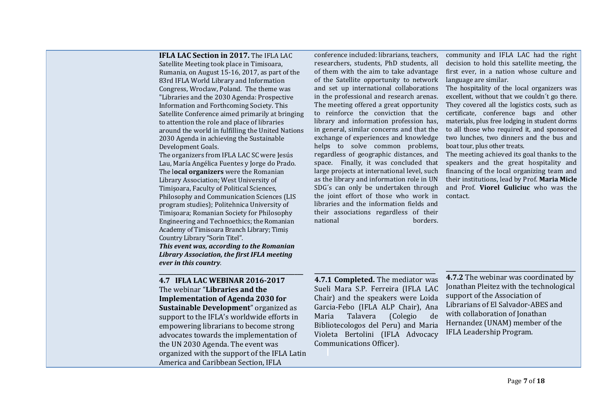**IFLA LAC Section in 2017.** The IFLA LAC

Satellite Meeting took place in Timisoara, Rumania, on August 15-16, 2017, as part of the 83rd IFLA World Library and Information Congress, Wroclaw, Poland. The theme was "Libraries and the 2030 Agenda: Prospective Information and Forthcoming Society. This Satellite Conference aimed primarily at bringing to attention the role and place of libraries around the world in fulfilling the United Nations 2030 Agenda in achieving the Sustainable Development Goals.

The organizers from IFLA LAC SC were Jesús Lau, María Angélica Fuentes y Jorge do Prado. The l**ocal organizers** were the Romanian Library Association; West University of Timişoara, Faculty of Political Sciences, Philosophy and Communication Sciences (LIS program studies); Politehnica University of Timişoara; Romanian Society for Philosophy Engineering and Technoethics; the Romanian Academy of Timisoara Branch Library; Timiș Country Library "Sorin Titel".

*This event was, according to the Romanian Library Association, the first IFLA meeting ever in this country.* 

**\_\_\_\_\_\_\_\_\_\_\_\_\_\_\_\_\_\_\_\_\_\_\_\_\_\_\_\_\_\_\_\_\_\_\_\_\_\_\_\_\_\_\_\_\_\_\_\_\_\_**

**4.7 IFLA LAC WEBINAR 2016-2017** The webinar "**Libraries and the Implementation of Agenda 2030 for Sustainable Development**" organized as support to the IFLA's worldwide efforts in empowering librarians to become strong advocates towards the implementation of the UN 2030 Agenda. The event was organized with the support of the IFLA Latin America and Caribbean Section, IFLA

conference included: librarians, teachers, researchers, students, PhD students, all of them with the aim to take advantage of the Satellite opportunity to network and set up international collaborations in the professional and research arenas. The meeting offered a great opportunity to reinforce the conviction that the library and information profession has, in general, similar concerns and that the exchange of experiences and knowledge helps to solve common problems, regardless of geographic distances, and space. Finally, it was concluded that large projects at international level, such as the library and information role in UN SDG´s can only be undertaken through the joint effort of those who work in libraries and the information fields and their associations regardless of their national borders.

community and IFLA LAC had the right decision to hold this satellite meeting, the first ever, in a nation whose culture and language are similar.

The hospitality of the local organizers was excellent, without that we couldn´t go there. They covered all the logistics costs, such as certificate, conference bags and other materials, plus free lodging in student dorms to all those who required it, and sponsored two lunches, two dinners and the bus and boat tour, plus other treats.

The meeting achieved its goal thanks to the speakers and the great hospitality and financing of the local organizing team and their institutions, lead by Prof. **Maria Micle** and Prof. **Viorel Guliciuc** who was the contact.

**\_\_\_\_\_\_\_\_\_\_\_\_\_\_\_\_\_\_\_\_\_\_\_\_\_\_\_\_\_\_\_\_\_\_\_\_\_\_\_\_\_\_ 4.7.1 Completed.** The mediator was Sueli Mara S.P. Ferreira (IFLA LAC Chair) and the speakers were Loida Garcia-Febo (IFLA ALP Chair), Ana Maria Talavera (Colegio de Bibliotecologos del Peru) and Maria Violeta Bertolini (IFLA Advocacy Communications Officer).

**\_\_\_\_\_\_\_\_\_\_\_\_\_\_\_\_\_\_\_\_\_\_\_\_\_\_\_\_\_\_\_\_\_\_\_\_\_\_\_\_\_\_\_\_\_ 4.7.2** The webinar was coordinated by Jonathan Pleitez with the technological support of the Association of Librarians of El Salvador-ABES and with collaboration of Jonathan Hernandez (UNAM) member of the IFLA Leadership Program.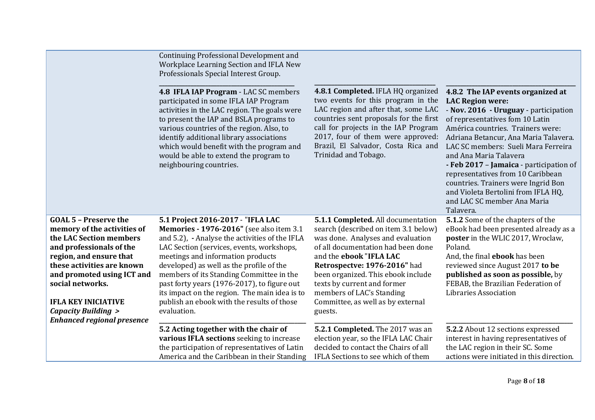|                                                                                                                                                                                                                                                                                                                                   | Continuing Professional Development and<br>Workplace Learning Section and IFLA New<br>Professionals Special Interest Group.<br>4.8 IFLA IAP Program - LAC SC members<br>participated in some IFLA IAP Program<br>activities in the LAC region. The goals were<br>to present the IAP and BSLA programs to<br>various countries of the region. Also, to<br>identify additional library associations<br>which would benefit with the program and<br>would be able to extend the program to<br>neighbouring countries. | 4.8.1 Completed. IFLA HQ organized<br>two events for this program in the<br>LAC region and after that, some LAC<br>countries sent proposals for the first<br>call for projects in the IAP Program<br>2017, four of them were approved:<br>Brazil, El Salvador, Costa Rica and<br>Trinidad and Tobago.                                                              | 4.8.2 The IAP events organized at<br><b>LAC Region were:</b><br>- Nov. 2016 - Uruguay - participation<br>of representatives fom 10 Latin<br>América countries. Trainers were:<br>Adriana Betancur, Ana Maria Talavera.<br>LAC SC members: Sueli Mara Ferreira<br>and Ana Maria Talavera<br>- Feb 2017 - Jamaica - participation of<br>representatives from 10 Caribbean<br>countries. Trainers were Ingrid Bon<br>and Violeta Bertolini from IFLA HQ,<br>and LAC SC member Ana Maria<br>Talavera. |
|-----------------------------------------------------------------------------------------------------------------------------------------------------------------------------------------------------------------------------------------------------------------------------------------------------------------------------------|--------------------------------------------------------------------------------------------------------------------------------------------------------------------------------------------------------------------------------------------------------------------------------------------------------------------------------------------------------------------------------------------------------------------------------------------------------------------------------------------------------------------|--------------------------------------------------------------------------------------------------------------------------------------------------------------------------------------------------------------------------------------------------------------------------------------------------------------------------------------------------------------------|---------------------------------------------------------------------------------------------------------------------------------------------------------------------------------------------------------------------------------------------------------------------------------------------------------------------------------------------------------------------------------------------------------------------------------------------------------------------------------------------------|
| <b>GOAL 5 - Preserve the</b><br>memory of the activities of<br>the LAC Section members<br>and professionals of the<br>region, and ensure that<br>these activities are known<br>and promoted using ICT and<br>social networks.<br><b>IFLA KEY INICIATIVE</b><br><b>Capacity Building &gt;</b><br><b>Enhanced regional presence</b> | 5.1 Project 2016-2017 - "IFLA LAC<br>Memories - 1976-2016" (see also item 3.1<br>and 5.2), - Analyse the activities of the IFLA<br>LAC Section (services, events, workshops,<br>meetings and information products<br>developed) as well as the profile of the<br>members of its Standing Committee in the<br>past forty years (1976-2017), to figure out<br>its impact on the region. The main idea is to<br>publish an ebook with the results of those<br>evaluation.                                             | 5.1.1 Completed. All documentation<br>search (described on item 3.1 below)<br>was done. Analyses and evaluation<br>of all documentation had been done<br>and the ebook "IFLA LAC<br>Retrospectve: 1976-2016" had<br>been organized. This ebook include<br>texts by current and former<br>members of LAC's Standing<br>Committee, as well as by external<br>guests. | 5.1.2 Some of the chapters of the<br>eBook had been presented already as a<br>poster in the WLIC 2017, Wroclaw,<br>Poland.<br>And, the final <b>ebook</b> has been<br>reviewed since August 2017 to be<br>published as soon as possible, by<br>FEBAB, the Brazilian Federation of<br>Libraries Association                                                                                                                                                                                        |
|                                                                                                                                                                                                                                                                                                                                   | 5.2 Acting together with the chair of<br>various IFLA sections seeking to increase<br>the participation of representatives of Latin<br>America and the Caribbean in their Standing                                                                                                                                                                                                                                                                                                                                 | 5.2.1 Completed. The 2017 was an<br>election year, so the IFLA LAC Chair<br>decided to contact the Chairs of all<br>IFLA Sections to see which of them                                                                                                                                                                                                             | 5.2.2 About 12 sections expressed<br>interest in having representatives of<br>the LAC region in their SC. Some<br>actions were initiated in this direction.                                                                                                                                                                                                                                                                                                                                       |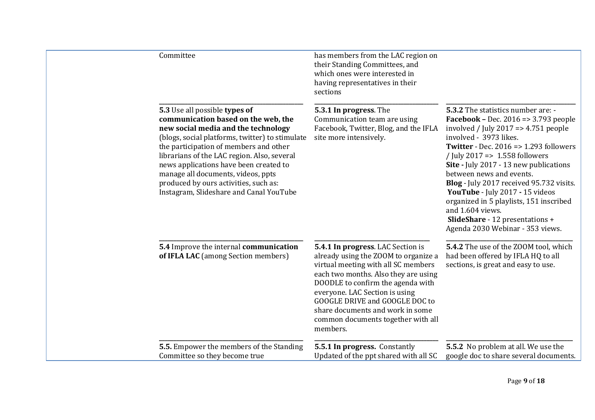| Committee                                                                                                                                                                                                                                                                                                                                                                                                                   | has members from the LAC region on<br>their Standing Committees, and<br>which ones were interested in<br>having representatives in their<br>sections                                                                                                                                                                                                    |                                                                                                                                                                                                                                                                                                                                                                                                                                                                                                                                                    |
|-----------------------------------------------------------------------------------------------------------------------------------------------------------------------------------------------------------------------------------------------------------------------------------------------------------------------------------------------------------------------------------------------------------------------------|---------------------------------------------------------------------------------------------------------------------------------------------------------------------------------------------------------------------------------------------------------------------------------------------------------------------------------------------------------|----------------------------------------------------------------------------------------------------------------------------------------------------------------------------------------------------------------------------------------------------------------------------------------------------------------------------------------------------------------------------------------------------------------------------------------------------------------------------------------------------------------------------------------------------|
| 5.3 Use all possible types of<br>communication based on the web, the<br>new social media and the technology<br>(blogs, social platforms, twitter) to stimulate<br>the participation of members and other<br>librarians of the LAC region. Also, several<br>news applications have been created to<br>manage all documents, videos, ppts<br>produced by ours activities, such as:<br>Instagram, Slideshare and Canal YouTube | 5.3.1 In progress. The<br>Communication team are using<br>Facebook, Twitter, Blog, and the IFLA<br>site more intensively.                                                                                                                                                                                                                               | 5.3.2 The statistics number are: -<br>Facebook – Dec. $2016 \approx 3.793$ people<br>involved / July 2017 = $> 4.751$ people<br>involved - 3973 likes.<br><b>Twitter</b> - Dec. $2016 \Rightarrow 1.293$ followers<br>/ July 2017 = $> 1.558$ followers<br>Site - July 2017 - 13 new publications<br>between news and events.<br>Blog - July 2017 received 95.732 visits.<br>YouTube - July 2017 - 15 videos<br>organized in 5 playlists, 151 inscribed<br>and 1.604 views.<br>SlideShare - 12 presentations +<br>Agenda 2030 Webinar - 353 views. |
| 5.4 Improve the internal communication<br>of IFLA LAC (among Section members)                                                                                                                                                                                                                                                                                                                                               | 5.4.1 In progress. LAC Section is<br>already using the ZOOM to organize a<br>virtual meeting with all SC members<br>each two months. Also they are using<br>DOODLE to confirm the agenda with<br>everyone. LAC Section is using<br>GOOGLE DRIVE and GOOGLE DOC to<br>share documents and work in some<br>common documents together with all<br>members. | 5.4.2 The use of the ZOOM tool, which<br>had been offered by IFLA HQ to all<br>sections, is great and easy to use.                                                                                                                                                                                                                                                                                                                                                                                                                                 |
| 5.5. Empower the members of the Standing<br>Committee so they become true                                                                                                                                                                                                                                                                                                                                                   | 5.5.1 In progress. Constantly<br>Updated of the ppt shared with all SC                                                                                                                                                                                                                                                                                  | 5.5.2 No problem at all. We use the<br>google doc to share several documents.                                                                                                                                                                                                                                                                                                                                                                                                                                                                      |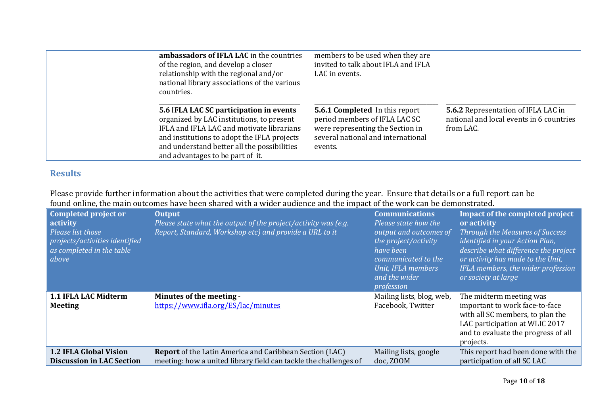| ambassadors of IFLA LAC in the countries<br>of the region, and develop a closer<br>relationship with the regional and/or<br>national library associations of the various<br>countries.                                                                              | members to be used when they are<br>invited to talk about IFLA and IFLA<br>LAC in events.                                                                   |                                                                                                     |
|---------------------------------------------------------------------------------------------------------------------------------------------------------------------------------------------------------------------------------------------------------------------|-------------------------------------------------------------------------------------------------------------------------------------------------------------|-----------------------------------------------------------------------------------------------------|
| 5.6 IFLA LAC SC participation in events<br>organized by LAC institutions, to present<br>IFLA and IFLA LAC and motivate librarians<br>and institutions to adopt the IFLA projects<br>and understand better all the possibilities<br>and advantages to be part of it. | <b>5.6.1 Completed</b> In this report<br>period members of IFLA LAC SC<br>were representing the Section in<br>several national and international<br>events. | <b>5.6.2</b> Representation of IFLA LAC in<br>national and local events in 6 countries<br>from LAC. |

## **Results**

Please provide further information about the activities that were completed during the year. Ensure that details or a full report can be found online, the main outcomes have been shared with a wider audience and the impact of the work can be demonstrated.

| Completed project or<br>activity<br>Please list those<br>projects/activities identified<br>as completed in the table<br>above | <b>Output</b><br>Please state what the output of the project/activity was (e.g.<br>Report, Standard, Workshop etc) and provide a URL to it | <b>Communications</b><br>Please state how the<br>output and outcomes of<br>the project/activity<br>have been<br>communicated to the<br>Unit, IFLA members<br>and the wider<br>profession | <b>Impact of the completed project</b><br>or activity<br>Through the Measures of Success<br><i>identified in your Action Plan,</i><br>describe what difference the project<br>or activity has made to the Unit,<br>IFLA members, the wider profession<br>or society at large |
|-------------------------------------------------------------------------------------------------------------------------------|--------------------------------------------------------------------------------------------------------------------------------------------|------------------------------------------------------------------------------------------------------------------------------------------------------------------------------------------|------------------------------------------------------------------------------------------------------------------------------------------------------------------------------------------------------------------------------------------------------------------------------|
| 1.1 IFLA LAC Midterm<br><b>Meeting</b>                                                                                        | Minutes of the meeting -<br>https://www.ifla.org/ES/lac/minutes                                                                            | Mailing lists, blog, web,<br>Facebook, Twitter                                                                                                                                           | The midterm meeting was<br>important to work face-to-face<br>with all SC members, to plan the<br>LAC participation at WLIC 2017<br>and to evaluate the progress of all<br>projects.                                                                                          |
| <b>1.2 IFLA Global Vision</b><br><b>Discussion in LAC Section</b>                                                             | <b>Report</b> of the Latin America and Caribbean Section (LAC)<br>meeting: how a united library field can tackle the challenges of         | Mailing lists, google<br>doc, ZOOM                                                                                                                                                       | This report had been done with the<br>participation of all SC LAC                                                                                                                                                                                                            |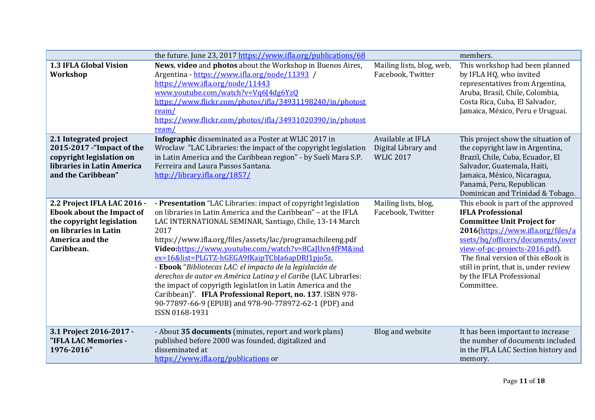|                                                                                                                                                               | the future. June 23, 2017 https://www.ifla.org/publications/68                                                                                                                                                                                                                                                                                                                                                                                                                                                                                                                                                                                                                                                       |                                                              | members.                                                                                                                                                                                                                                                                                                                                |
|---------------------------------------------------------------------------------------------------------------------------------------------------------------|----------------------------------------------------------------------------------------------------------------------------------------------------------------------------------------------------------------------------------------------------------------------------------------------------------------------------------------------------------------------------------------------------------------------------------------------------------------------------------------------------------------------------------------------------------------------------------------------------------------------------------------------------------------------------------------------------------------------|--------------------------------------------------------------|-----------------------------------------------------------------------------------------------------------------------------------------------------------------------------------------------------------------------------------------------------------------------------------------------------------------------------------------|
| <b>1.3 IFLA Global Vision</b><br>Workshop                                                                                                                     | News, video and photos about the Workshop in Buenos Aires,<br>Argentina - https://www.ifla.org/node/11393 /<br>https://www.ifla.org/node/11443<br>www.youtube.com/watch?v=Vq6J4dg6YzQ<br>https://www.flickr.com/photos/ifla/34931198240/in/photost<br>ream/<br>https://www.flickr.com/photos/ifla/34931020390/in/photost<br>ream/                                                                                                                                                                                                                                                                                                                                                                                    | Mailing lists, blog, web,<br>Facebook, Twitter               | This workshop had been planned<br>by IFLA HQ, who invited<br>representatives from Argentina,<br>Aruba, Brasil, Chile, Colombia,<br>Costa Rica, Cuba, El Salvador,<br>Jamaica, México, Peru e Uruguai.                                                                                                                                   |
| 2.1 Integrated project<br>2015-2017 - "Impact of the<br>copyright legislation on<br>libraries in Latin America<br>and the Caribbean"                          | Infographic disseminated as a Poster at WLIC 2017 in<br>Wroclaw "LAC Libraries: the impact of the copyright legislation<br>in Latin America and the Caribbean region" - by Sueli Mara S.P.<br>Ferreira and Laura Passos Santana.<br>http://library.ifla.org/1857/                                                                                                                                                                                                                                                                                                                                                                                                                                                    | Available at IFLA<br>Digital Library and<br><b>WLIC 2017</b> | This project show the situation of<br>the copyright law in Argentina,<br>Brazil, Chile, Cuba, Ecuador, El<br>Salvador, Guatemala, Haiti,<br>Jamaica, México, Nicaragua,<br>Panamá, Peru, Republican<br>Dominican and Trinidad & Tobago.                                                                                                 |
| 2.2 Project IFLA LAC 2016 -<br><b>Ebook about the Impact of</b><br>the copyright legislation<br>on libraries in Latin<br><b>America and the</b><br>Caribbean. | - Presentation "LAC Libraries: impact of copyright legislation<br>on libraries in Latin America and the Caribbean" - at the IFLA<br>LAC INTERNATIONAL SEMINAR, Santiago, Chile, 13-14 March<br>2017<br>https://www.ifla.org/files/assets/lac/programachileeng.pdf<br>Video:https://www.youtube.com/watch?v=8CaJUvn4fFM&ind<br>ex=16&list=PLGTZ-hGEGA9fKaipTCbJa6apDRf1pjo5z.<br>- Ebook "Bibliotecas LAC: el impacto de la legislación de<br>derechos de autor en América Latina y el Caribe (LAC Librarles:<br>the impact of copyrigth legislation in Latin America and the<br>Caribbean)". IFLA Professional Report, no. 137. ISBN 978-<br>90-77897-66-9 (EPUB) and 978-90-778972-62-1 (PDF) and<br>ISSN 0168-1931 | Mailing lists, blog,<br>Facebook, Twitter                    | This ebook is part of the approved<br><b>IFLA Professional</b><br><b>Committee Unit Project for</b><br>2016(https://www.ifla.org/files/a<br>ssets/hq/officers/documents/over<br>view-of-pc-projects-2016.pdf).<br>The final version of this eBook is<br>still in print, that is, under review<br>by the IFLA Professional<br>Committee. |
| 3.1 Project 2016-2017 -<br>"IFLA LAC Memories -<br>1976-2016"                                                                                                 | - About 35 documents (minutes, report and work plans)<br>published before 2000 was founded, digitalized and<br>disseminated at<br>https://www.ifla.org/publications or                                                                                                                                                                                                                                                                                                                                                                                                                                                                                                                                               | Blog and website                                             | It has been important to increase<br>the number of documents included<br>in the IFLA LAC Section history and<br>memory.                                                                                                                                                                                                                 |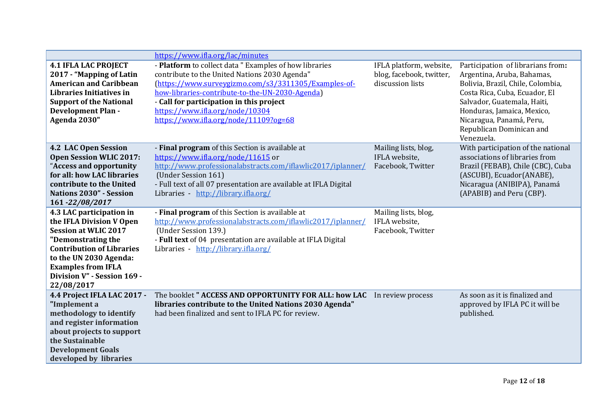|                                                                                                                                                                                                                                                   | https://www.ifla.org/lac/minutes                                                                                                                                                                                                                                                                                                           |                                                                         |                                                                                                                                                                                                                                                                          |
|---------------------------------------------------------------------------------------------------------------------------------------------------------------------------------------------------------------------------------------------------|--------------------------------------------------------------------------------------------------------------------------------------------------------------------------------------------------------------------------------------------------------------------------------------------------------------------------------------------|-------------------------------------------------------------------------|--------------------------------------------------------------------------------------------------------------------------------------------------------------------------------------------------------------------------------------------------------------------------|
| <b>4.1 IFLA LAC PROJECT</b><br>2017 - "Mapping of Latin<br><b>American and Caribbean</b><br>Libraries Initiatives in<br><b>Support of the National</b><br><b>Development Plan -</b><br>Agenda 2030"                                               | - Platform to collect data " Examples of how libraries<br>contribute to the United Nations 2030 Agenda"<br>(https://www.surveygizmo.com/s3/3311305/Examples-of-<br>how-libraries-contribute-to-the-UN-2030-Agenda)<br>- Call for participation in this project<br>https://www.ifla.org/node/10304<br>https://www.ifla.org/node/11109?og=68 | IFLA platform, website,<br>blog, facebook, twitter,<br>discussion lists | Participation of librarians from:<br>Argentina, Aruba, Bahamas,<br>Bolivia, Brazil, Chile, Colombia,<br>Costa Rica, Cuba, Ecuador, El<br>Salvador, Guatemala, Haiti,<br>Honduras, Jamaica, Mexico,<br>Nicaragua, Panamá, Peru,<br>Republican Dominican and<br>Venezuela. |
| 4.2 LAC Open Session<br><b>Open Session WLIC 2017:</b><br>"Access and opportunity<br>for all: how LAC libraries<br>contribute to the United<br><b>Nations 2030" - Session</b><br>161-22/08/2017                                                   | - Final program of this Section is available at<br>https://www.ifla.org/node/11615 or<br>http://www.professionalabstracts.com/iflawlic2017/iplanner/<br>(Under Session 161)<br>- Full text of all 07 presentation are available at IFLA Digital<br>Libraries - http://library.ifla.org/                                                    | Mailing lists, blog,<br>IFLA website,<br>Facebook, Twitter              | With participation of the national<br>associations of libraries from<br>Brazil (FEBAB), Chile (CBC), Cuba<br>(ASCUBI), Ecuador(ANABE),<br>Nicaragua (ANIBIPA), Panamá<br>(APABIB) and Peru (CBP).                                                                        |
| 4.3 LAC participation in<br>the IFLA Division V Open<br><b>Session at WLIC 2017</b><br>"Demonstrating the<br><b>Contribution of Libraries</b><br>to the UN 2030 Agenda:<br><b>Examples from IFLA</b><br>Division V" - Session 169 -<br>22/08/2017 | - Final program of this Section is available at<br>http://www.professionalabstracts.com/iflawlic2017/iplanner/<br>(Under Session 139.)<br>- Full text of 04 presentation are available at IFLA Digital<br>Libraries - http://library.ifla.org/                                                                                             | Mailing lists, blog,<br>IFLA website,<br>Facebook, Twitter              |                                                                                                                                                                                                                                                                          |
| 4.4 Project IFLA LAC 2017 -<br>"Implement a<br>methodology to identify<br>and register information<br>about projects to support<br>the Sustainable<br><b>Development Goals</b><br>developed by libraries                                          | The booklet " ACCESS AND OPPORTUNITY FOR ALL: how LAC<br>libraries contribute to the United Nations 2030 Agenda"<br>had been finalized and sent to IFLA PC for review.                                                                                                                                                                     | In review process                                                       | As soon as it is finalized and<br>approved by IFLA PC it will be<br>published.                                                                                                                                                                                           |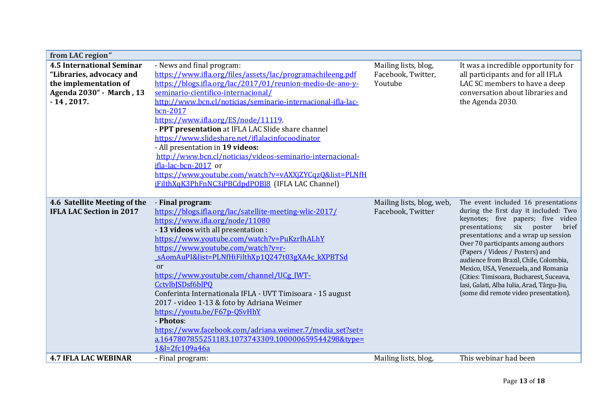| from LAC region"                 |                                                              |                           |                                                             |
|----------------------------------|--------------------------------------------------------------|---------------------------|-------------------------------------------------------------|
| <b>4.5 International Seminar</b> | - News and final program:                                    | Mailing lists, blog,      | It was a incredible opportunity for                         |
| "Libraries, advocacy and         | https://www.ifla.org/files/assets/lac/programachileeng.pdf   | Facebook, Twitter,        | all participants and for all IFLA                           |
| the implementation of            | https://blogs.ifla.org/lac/2017/01/reunion-medio-de-ano-y-   | Youtube                   | LAC SC members to have a deep                               |
| Agenda 2030" - March, 13         | seminario-cientifico-internacional/                          |                           | conversation about libraries and                            |
| $-14, 2017.$                     | http://www.bcn.cl/noticias/seminario-internacional-ifla-lac- |                           | the Agenda 2030.                                            |
|                                  | bcn-2017                                                     |                           |                                                             |
|                                  | https://www.ifla.org/ES/node/11119.                          |                           |                                                             |
|                                  | - PPT presentation at IFLA LAC Slide share channel           |                           |                                                             |
|                                  | https://www.slideshare.net/iflalacinfocoodinator             |                           |                                                             |
|                                  | - All presentation in 19 videos:                             |                           |                                                             |
|                                  | http://www.bcn.cl/noticias/videos-seminario-internacional-   |                           |                                                             |
|                                  | ifla-lac-bcn-2017 or                                         |                           |                                                             |
|                                  | https://www.youtube.com/watch?v=vAXXjZYCqzQ&list=PLNfH       |                           |                                                             |
|                                  | iFilthXqK3PhFnNC3iPBCdpdPOBl8 (IFLA LAC Channel)             |                           |                                                             |
|                                  |                                                              |                           |                                                             |
| 4.6 Satellite Meeting of the     | - Final program:                                             | Mailing lists, blog, web, | The event included 16 presentations                         |
| <b>IFLA LAC Section in 2017</b>  | https://blogs.ifla.org/lac/satellite-meeting-wlic-2017/      | Facebook, Twitter         | during the first day it included: Two                       |
|                                  | https://www.ifla.org/node/11080                              |                           | keynotes; five papers; five video<br>poster<br>six<br>brief |
|                                  | - 13 videos with all presentation :                          |                           | presentations;<br>presentations; and a wrap up session      |
|                                  | https://www.youtube.com/watch?v=PuKzrIhALhY                  |                           | Over 70 participants among authors                          |
|                                  | https://www.youtube.com/watch?v=r-                           |                           | (Papers / Videos / Posters) and                             |
|                                  | sAomAuPI&list=PLNfHiFilthXp1Q247t03gXA4c kXPBTSd             |                           | audience from Brazil, Chile, Colombia,                      |
|                                  | or                                                           |                           | Mexico, USA, Venezuela, and Romania                         |
|                                  | https://www.youtube.com/channel/UCg_IWT-                     |                           | (Cities: Timisoara, Bucharest, Suceava,                     |
|                                  | CctvlbJSDsf6blPQ                                             |                           | Iasi, Galati, Alba Iulia, Arad, Târgu-Jiu,                  |
|                                  | Conferinta Internationala IFLA - UVT Timisoara - 15 august   |                           | (some did remote video presentation).                       |
|                                  | 2017 - video 1-13 & foto by Adriana Weimer                   |                           |                                                             |
|                                  | https://youtu.be/F67p-QSvHhY                                 |                           |                                                             |
|                                  | - Photos:                                                    |                           |                                                             |
|                                  | https://www.facebook.com/adriana.weimer.7/media_set?set=     |                           |                                                             |
|                                  | a.1647807855251183.1073743309.100000659544298&tvpe=          |                           |                                                             |
|                                  | 1&l=2fc109a46a                                               |                           |                                                             |
| <b>4.7 IFLA LAC WEBINAR</b>      | - Final program:                                             | Mailing lists, blog,      | This webinar had been                                       |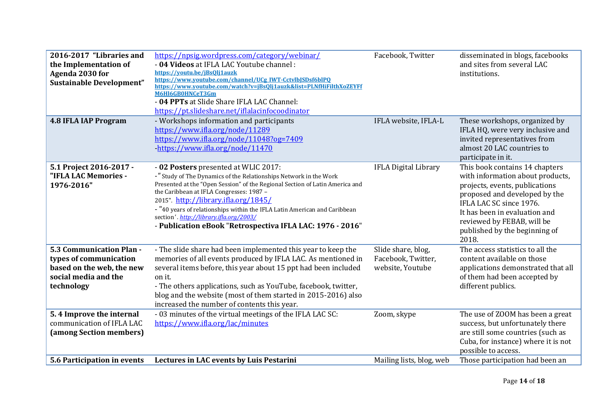| 2016-2017 "Libraries and<br>the Implementation of<br>Agenda 2030 for<br><b>Sustainable Development"</b><br><b>4.8 IFLA IAP Program</b> | https://npsig.wordpress.com/category/webinar/<br>- 04 Videos at IFLA LAC Youtube channel :<br>https://voutu.be/jBs0lj1auzk<br>https://www.youtube.com/channel/UCg IWT-CctvlbJSDsf6blPQ<br>https://www.youtube.com/watch?v=jBs0lj1auzk&list=PLNfHiFilthXoZEYFf<br>M6HI6GB0HNCeT3Gm<br>- 04 PPTs at Slide Share IFLA LAC Channel:<br>https://pt.slideshare.net/iflalacinfocoodinator<br>- Workshops information and participants                                    | Facebook, Twitter<br>IFLA website, IFLA-L                    | disseminated in blogs, facebooks<br>and sites from several LAC<br>institutions.<br>These workshops, organized by                                                                                                                                                          |
|----------------------------------------------------------------------------------------------------------------------------------------|-------------------------------------------------------------------------------------------------------------------------------------------------------------------------------------------------------------------------------------------------------------------------------------------------------------------------------------------------------------------------------------------------------------------------------------------------------------------|--------------------------------------------------------------|---------------------------------------------------------------------------------------------------------------------------------------------------------------------------------------------------------------------------------------------------------------------------|
|                                                                                                                                        | https://www.ifla.org/node/11289<br>https://www.ifla.org/node/11048?og=7409<br>-https://www.ifla.org/node/11470                                                                                                                                                                                                                                                                                                                                                    |                                                              | IFLA HQ, were very inclusive and<br>invited representatives from<br>almost 20 LAC countries to<br>participate in it.                                                                                                                                                      |
| 5.1 Project 2016-2017 -<br>"IFLA LAC Memories -<br>1976-2016"                                                                          | - 02 Posters presented at WLIC 2017:<br>-" Study of The Dynamics of the Relationships Network in the Work<br>Presented at the "Open Session" of the Regional Section of Latin America and<br>the Caribbean at IFLA Congresses: 1987 -<br>2015". http://library.ifla.org/1845/<br>- "40 years of relationships within the IFLA Latin American and Caribbean<br>section'.http://library.ifla.org/2003/<br>- Publication eBook "Retrospectiva IFLA LAC: 1976 - 2016" | <b>IFLA Digital Library</b>                                  | This book contains 14 chapters<br>with information about products,<br>projects, events, publications<br>proposed and developed by the<br>IFLA LAC SC since 1976.<br>It has been in evaluation and<br>reviewed by FEBAB, will be<br>published by the beginning of<br>2018. |
| 5.3 Communication Plan -<br>types of communication<br>based on the web, the new<br>social media and the<br>technology                  | - The slide share had been implemented this year to keep the<br>memories of all events produced by IFLA LAC. As mentioned in<br>several items before, this year about 15 ppt had been included<br>on it.<br>- The others applications, such as YouTube, facebook, twitter,<br>blog and the website (most of them started in 2015-2016) also<br>increased the number of contents this year.                                                                        | Slide share, blog,<br>Facebook, Twitter,<br>website, Youtube | The access statistics to all the<br>content available on those<br>applications demonstrated that all<br>of them had been accepted by<br>different publics.                                                                                                                |
| 5.4 Improve the internal<br>communication of IFLA LAC<br>(among Section members)                                                       | - 03 minutes of the virtual meetings of the IFLA LAC SC:<br>https://www.ifla.org/lac/minutes                                                                                                                                                                                                                                                                                                                                                                      | Zoom, skype                                                  | The use of ZOOM has been a great<br>success, but unfortunately there<br>are still some countries (such as<br>Cuba, for instance) where it is not<br>possible to access.                                                                                                   |
| 5.6 Participation in events                                                                                                            | Lectures in LAC events by Luis Pestarini                                                                                                                                                                                                                                                                                                                                                                                                                          | Mailing lists, blog, web                                     | Those participation had been an                                                                                                                                                                                                                                           |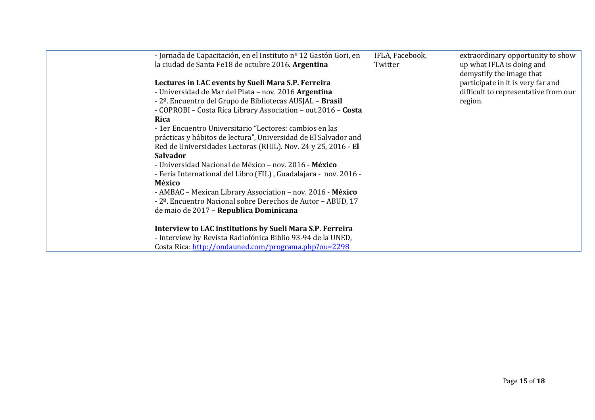| - Jornada de Capacitación, en el Instituto nº 12 Gastón Gori, en<br>la ciudad de Santa Fe18 de octubre 2016. Argentina | IFLA, Facebook,<br>Twitter | extraordinary opportunity to show<br>up what IFLA is doing and<br>demystify the image that |
|------------------------------------------------------------------------------------------------------------------------|----------------------------|--------------------------------------------------------------------------------------------|
| Lectures in LAC events by Sueli Mara S.P. Ferreira                                                                     |                            | participate in it is very far and                                                          |
| - Universidad de Mar del Plata - nov. 2016 Argentina                                                                   |                            | difficult to representative from our                                                       |
| - 2 <sup>o</sup> . Encuentro del Grupo de Bibliotecas AUSJAL - <b>Brasil</b>                                           |                            | region.                                                                                    |
| - COPROBI - Costa Rica Library Association - out.2016 - Costa                                                          |                            |                                                                                            |
| Rica                                                                                                                   |                            |                                                                                            |
| - 1 er Encuentro Universitario "Lectores: cambios en las                                                               |                            |                                                                                            |
| prácticas y hábitos de lectura", Universidad de El Salvador and                                                        |                            |                                                                                            |
| Red de Universidades Lectoras (RIUL). Nov. 24 y 25, 2016 - El                                                          |                            |                                                                                            |
| <b>Salvador</b>                                                                                                        |                            |                                                                                            |
| - Universidad Nacional de México – nov. 2016 - México                                                                  |                            |                                                                                            |
| - Feria International del Libro (FIL), Guadalajara - nov. 2016 -                                                       |                            |                                                                                            |
| México                                                                                                                 |                            |                                                                                            |
| - AMBAC - Mexican Library Association - nov. 2016 - México                                                             |                            |                                                                                            |
| - 2 <sup>o</sup> . Encuentro Nacional sobre Derechos de Autor - ABUD, 17                                               |                            |                                                                                            |
| de maio de 2017 - Republica Dominicana                                                                                 |                            |                                                                                            |
|                                                                                                                        |                            |                                                                                            |
| Interview to LAC institutions by Sueli Mara S.P. Ferreira                                                              |                            |                                                                                            |
| - Interview by Revista Radiofónica Biblio 93-94 de la UNED,                                                            |                            |                                                                                            |
| Costa Rica: http://ondauned.com/programa.php?ou=2298                                                                   |                            |                                                                                            |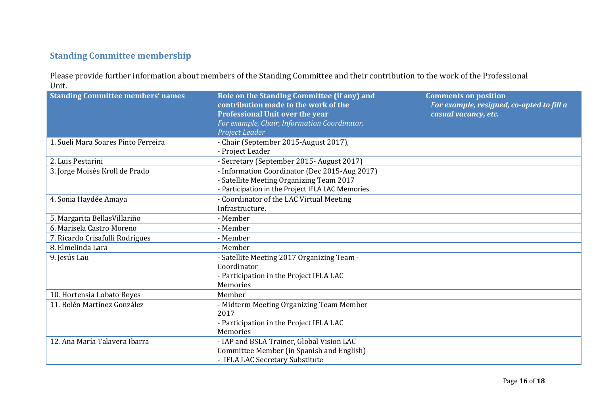# **Standing Committee membership**

Please provide further information about members of the Standing Committee and their contribution to the work of the Professional Unit.

| <b>Standing Committee members' names</b> | Role on the Standing Committee (if any) and<br>contribution made to the work of the<br>Professional Unit over the year<br>For example, Chair, Information Coordinator, | <b>Comments on position</b><br>For example, resigned, co-opted to fill a<br>casual vacancy, etc. |
|------------------------------------------|------------------------------------------------------------------------------------------------------------------------------------------------------------------------|--------------------------------------------------------------------------------------------------|
|                                          | Project Leader                                                                                                                                                         |                                                                                                  |
| 1. Sueli Mara Soares Pinto Ferreira      | - Chair (September 2015-August 2017),                                                                                                                                  |                                                                                                  |
|                                          | - Project Leader                                                                                                                                                       |                                                                                                  |
| 2. Luis Pestarini                        | - Secretary (September 2015- August 2017)                                                                                                                              |                                                                                                  |
| 3. Jorge Moisés Kroll de Prado           | - Information Coordinator (Dec 2015-Aug 2017)                                                                                                                          |                                                                                                  |
|                                          | - Satellite Meeting Organizing Team 2017                                                                                                                               |                                                                                                  |
|                                          | - Participation in the Project IFLA LAC Memories                                                                                                                       |                                                                                                  |
| 4. Sonia Haydée Amaya                    | - Coordinator of the LAC Virtual Meeting                                                                                                                               |                                                                                                  |
|                                          | Infrastructure.                                                                                                                                                        |                                                                                                  |
| 5. Margarita Bellas Villariño            | - Member                                                                                                                                                               |                                                                                                  |
| 6. Marisela Castro Moreno                | - Member                                                                                                                                                               |                                                                                                  |
| 7. Ricardo Crisafulli Rodrigues          | - Member                                                                                                                                                               |                                                                                                  |
| 8. Elmelinda Lara                        | - Member                                                                                                                                                               |                                                                                                  |
| 9. Jesús Lau                             | - Satellite Meeting 2017 Organizing Team -                                                                                                                             |                                                                                                  |
|                                          | Coordinator                                                                                                                                                            |                                                                                                  |
|                                          | - Participation in the Project IFLA LAC                                                                                                                                |                                                                                                  |
|                                          | Memories                                                                                                                                                               |                                                                                                  |
| 10. Hortensia Lobato Reyes               | Member                                                                                                                                                                 |                                                                                                  |
| 11. Belén Martínez González              | - Midterm Meeting Organizing Team Member                                                                                                                               |                                                                                                  |
|                                          | 2017                                                                                                                                                                   |                                                                                                  |
|                                          | - Participation in the Project IFLA LAC                                                                                                                                |                                                                                                  |
|                                          | Memories                                                                                                                                                               |                                                                                                  |
| 12. Ana María Talavera Ibarra            | - IAP and BSLA Trainer, Global Vision LAC                                                                                                                              |                                                                                                  |
|                                          | Committee Member (in Spanish and English)                                                                                                                              |                                                                                                  |
|                                          | - IFLA LAC Secretary Substitute                                                                                                                                        |                                                                                                  |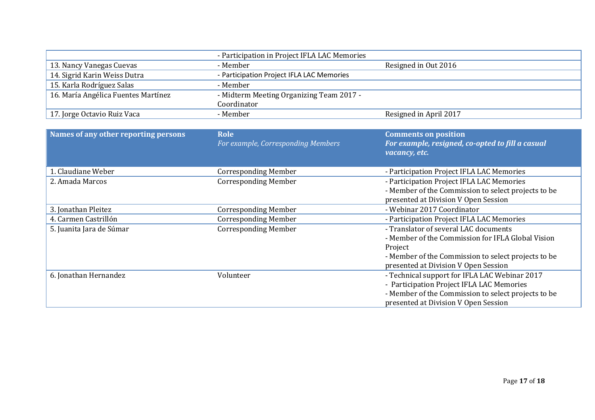|                                      | - Participation in Project IFLA LAC Memories |                                                     |
|--------------------------------------|----------------------------------------------|-----------------------------------------------------|
| 13. Nancy Vanegas Cuevas             | - Member                                     | Resigned in Out 2016                                |
| 14. Sigrid Karin Weiss Dutra         | - Participation Project IFLA LAC Memories    |                                                     |
| 15. Karla Rodríguez Salas            | - Member                                     |                                                     |
| 16. María Angélica Fuentes Martínez  | - Midterm Meeting Organizing Team 2017 -     |                                                     |
|                                      | Coordinator                                  |                                                     |
| 17. Jorge Octavio Ruiz Vaca          | - Member                                     | Resigned in April 2017                              |
|                                      |                                              |                                                     |
| Names of any other reporting persons | Role                                         | <b>Comments on position</b>                         |
|                                      | For example, Corresponding Members           | For example, resigned, co-opted to fill a casual    |
|                                      |                                              | vacancy, etc.                                       |
|                                      |                                              |                                                     |
| 1. Claudiane Weber                   | <b>Corresponding Member</b>                  | - Participation Project IFLA LAC Memories           |
| 2. Amada Marcos                      | <b>Corresponding Member</b>                  | - Participation Project IFLA LAC Memories           |
|                                      |                                              | - Member of the Commission to select projects to be |
|                                      |                                              | presented at Division V Open Session                |
| 3. Jonathan Pleitez                  | <b>Corresponding Member</b>                  | - Webinar 2017 Coordinator                          |
| 4. Carmen Castrillón                 | <b>Corresponding Member</b>                  | - Participation Project IFLA LAC Memories           |
| 5. Juanita Jara de Súmar             | <b>Corresponding Member</b>                  | - Translator of several LAC documents               |
|                                      |                                              | - Member of the Commission for IFLA Global Vision   |
|                                      |                                              | Project                                             |
|                                      |                                              | - Member of the Commission to select projects to be |
|                                      |                                              | presented at Division V Open Session                |
| 6. Jonathan Hernandez                | Volunteer                                    | - Technical support for IFLA LAC Webinar 2017       |
|                                      |                                              | - Participation Project IFLA LAC Memories           |
|                                      |                                              | - Member of the Commission to select projects to be |
|                                      |                                              | presented at Division V Open Session                |